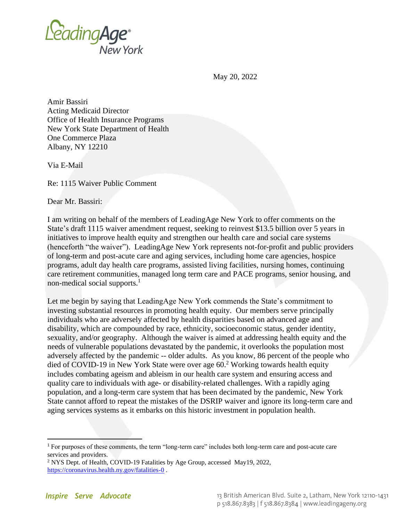

May 20, 2022

Amir Bassiri Acting Medicaid Director Office of Health Insurance Programs New York State Department of Health One Commerce Plaza Albany, NY 12210

Via E-Mail

Re: 1115 Waiver Public Comment

Dear Mr. Bassiri:

I am writing on behalf of the members of LeadingAge New York to offer comments on the State's draft 1115 waiver amendment request, seeking to reinvest \$13.5 billion over 5 years in initiatives to improve health equity and strengthen our health care and social care systems (henceforth "the waiver"). LeadingAge New York represents not-for-profit and public providers of long-term and post-acute care and aging services, including home care agencies, hospice programs, adult day health care programs, assisted living facilities, nursing homes, continuing care retirement communities, managed long term care and PACE programs, senior housing, and non-medical social supports. $<sup>1</sup>$ </sup>

Let me begin by saying that LeadingAge New York commends the State's commitment to investing substantial resources in promoting health equity. Our members serve principally individuals who are adversely affected by health disparities based on advanced age and disability, which are compounded by race, ethnicity, socioeconomic status, gender identity, sexuality, and/or geography. Although the waiver is aimed at addressing health equity and the needs of vulnerable populations devastated by the pandemic, it overlooks the population most adversely affected by the pandemic -- older adults. As you know, 86 percent of the people who died of COVID-19 in New York State were over age 60.<sup>2</sup> Working towards health equity includes combating ageism and ableism in our health care system and ensuring access and quality care to individuals with age- or disability-related challenges. With a rapidly aging population, and a long-term care system that has been decimated by the pandemic, New York State cannot afford to repeat the mistakes of the DSRIP waiver and ignore its long-term care and aging services systems as it embarks on this historic investment in population health.

<sup>1</sup> For purposes of these comments, the term "long-term care" includes both long-term care and post-acute care services and providers.

<sup>2</sup> NYS Dept. of Health, COVID-19 Fatalities by Age Group, accessed May19, 2022, [https://coronavirus.health.ny.gov/fatalities-0](https://nam10.safelinks.protection.outlook.com/?url=https%3A%2F%2Fcoronavirus.health.ny.gov%2Ffatalities-0&data=05%7C01%7Cklipson%40leadingageny.org%7C5da47ded0fa049c39bca08da399c0502%7C6d78e436c2fc42c9934dbce6aebd59bb%7C0%7C0%7C637885639510675356%7CUnknown%7CTWFpbGZsb3d8eyJWIjoiMC4wLjAwMDAiLCJQIjoiV2luMzIiLCJBTiI6Ik1haWwiLCJXVCI6Mn0%3D%7C3000%7C%7C%7C&sdata=QZPqC6WWsKeR6aQlB%2FCLiN2YDZtX9lIjwZwR7u0Zoyc%3D&reserved=0) .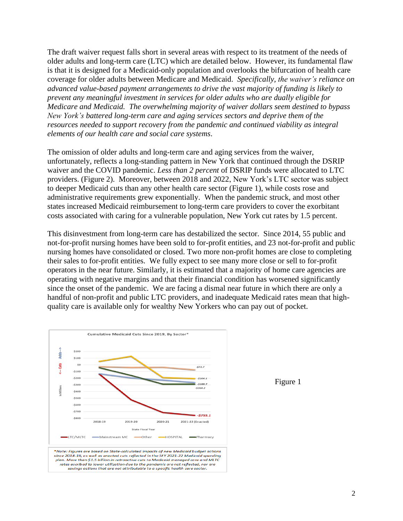The draft waiver request falls short in several areas with respect to its treatment of the needs of older adults and long-term care (LTC) which are detailed below. However, its fundamental flaw is that it is designed for a Medicaid-only population and overlooks the bifurcation of health care coverage for older adults between Medicare and Medicaid. *Specifically, the waiver's reliance on advanced value-based payment arrangements to drive the vast majority of funding is likely to prevent any meaningful investment in services for older adults who are dually eligible for Medicare and Medicaid. The overwhelming majority of waiver dollars seem destined to bypass New York's battered long-term care and aging services sectors and deprive them of the resources needed to support recovery from the pandemic and continued viability as integral elements of our health care and social care systems*.

The omission of older adults and long-term care and aging services from the waiver, unfortunately, reflects a long-standing pattern in New York that continued through the DSRIP waiver and the COVID pandemic. *Less than 2 percent* of DSRIP funds were allocated to LTC providers. (Figure 2). Moreover, between 2018 and 2022, New York's LTC sector was subject to deeper Medicaid cuts than any other health care sector (Figure 1), while costs rose and administrative requirements grew exponentially. When the pandemic struck, and most other states increased Medicaid reimbursement to long-term care providers to cover the exorbitant costs associated with caring for a vulnerable population, New York cut rates by 1.5 percent.

This disinvestment from long-term care has destabilized the sector. Since 2014, 55 public and not-for-profit nursing homes have been sold to for-profit entities, and 23 not-for-profit and public nursing homes have consolidated or closed. Two more non-profit homes are close to completing their sales to for-profit entities. We fully expect to see many more close or sell to for-profit operators in the near future. Similarly, it is estimated that a majority of home care agencies are operating with negative margins and that their financial condition has worsened significantly since the onset of the pandemic. We are facing a dismal near future in which there are only a handful of non-profit and public LTC providers, and inadequate Medicaid rates mean that highquality care is available only for wealthy New Yorkers who can pay out of pocket.



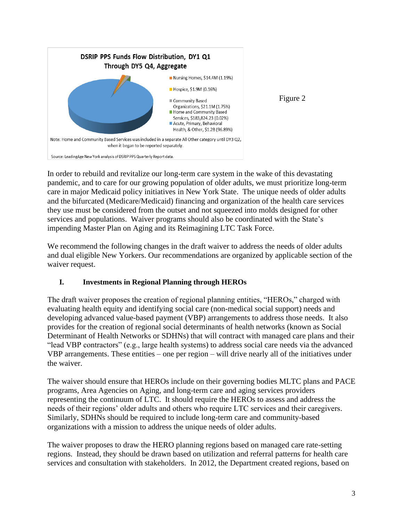

Figure 2

In order to rebuild and revitalize our long-term care system in the wake of this devastating pandemic, and to care for our growing population of older adults, we must prioritize long-term care in major Medicaid policy initiatives in New York State. The unique needs of older adults and the bifurcated (Medicare/Medicaid) financing and organization of the health care services they use must be considered from the outset and not squeezed into molds designed for other services and populations. Waiver programs should also be coordinated with the State's impending Master Plan on Aging and its Reimagining LTC Task Force.

We recommend the following changes in the draft waiver to address the needs of older adults and dual eligible New Yorkers. Our recommendations are organized by applicable section of the waiver request.

# **I. Investments in Regional Planning through HEROs**

The draft waiver proposes the creation of regional planning entities, "HEROs," charged with evaluating health equity and identifying social care (non-medical social support) needs and developing advanced value-based payment (VBP) arrangements to address those needs. It also provides for the creation of regional social determinants of health networks (known as Social Determinant of Health Networks or SDHNs) that will contract with managed care plans and their "lead VBP contractors" (e.g., large health systems) to address social care needs via the advanced VBP arrangements. These entities – one per region – will drive nearly all of the initiatives under the waiver.

The waiver should ensure that HEROs include on their governing bodies MLTC plans and PACE programs, Area Agencies on Aging, and long-term care and aging services providers representing the continuum of LTC. It should require the HEROs to assess and address the needs of their regions' older adults and others who require LTC services and their caregivers. Similarly, SDHNs should be required to include long-term care and community-based organizations with a mission to address the unique needs of older adults.

The waiver proposes to draw the HERO planning regions based on managed care rate-setting regions. Instead, they should be drawn based on utilization and referral patterns for health care services and consultation with stakeholders. In 2012, the Department created regions, based on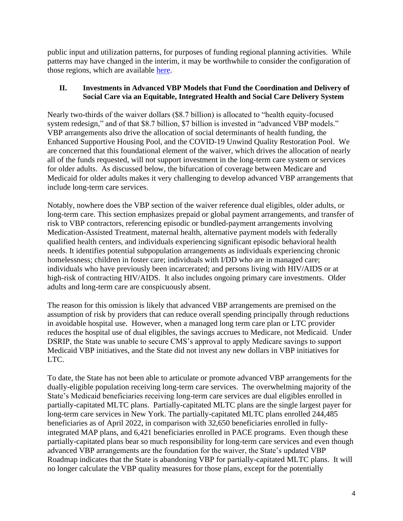public input and utilization patterns, for purposes of funding regional planning activities. While patterns may have changed in the interim, it may be worthwhile to consider the configuration of those regions, which are available [here.](https://www.health.ny.gov/facilities/public_health_and_health_planning_council/docs/con_redesign_report_figure_1.pdf)

### **II. Investments in Advanced VBP Models that Fund the Coordination and Delivery of Social Care via an Equitable, Integrated Health and Social Care Delivery System**

Nearly two-thirds of the waiver dollars (\$8.7 billion) is allocated to "health equity-focused system redesign," and of that \$8.7 billion, \$7 billion is invested in "advanced VBP models." VBP arrangements also drive the allocation of social determinants of health funding, the Enhanced Supportive Housing Pool, and the COVID-19 Unwind Quality Restoration Pool. We are concerned that this foundational element of the waiver, which drives the allocation of nearly all of the funds requested, will not support investment in the long-term care system or services for older adults. As discussed below, the bifurcation of coverage between Medicare and Medicaid for older adults makes it very challenging to develop advanced VBP arrangements that include long-term care services.

Notably, nowhere does the VBP section of the waiver reference dual eligibles, older adults, or long-term care. This section emphasizes prepaid or global payment arrangements, and transfer of risk to VBP contractors, referencing episodic or bundled-payment arrangements involving Medication-Assisted Treatment, maternal health, alternative payment models with federally qualified health centers, and individuals experiencing significant episodic behavioral health needs. It identifies potential subpopulation arrangements as individuals experiencing chronic homelessness; children in foster care; individuals with I/DD who are in managed care; individuals who have previously been incarcerated; and persons living with HIV/AIDS or at high-risk of contracting HIV/AIDS. It also includes ongoing primary care investments. Older adults and long-term care are conspicuously absent.

The reason for this omission is likely that advanced VBP arrangements are premised on the assumption of risk by providers that can reduce overall spending principally through reductions in avoidable hospital use. However, when a managed long term care plan or LTC provider reduces the hospital use of dual eligibles, the savings accrues to Medicare, not Medicaid. Under DSRIP, the State was unable to secure CMS's approval to apply Medicare savings to support Medicaid VBP initiatives, and the State did not invest any new dollars in VBP initiatives for LTC.

To date, the State has not been able to articulate or promote advanced VBP arrangements for the dually-eligible population receiving long-term care services. The overwhelming majority of the State's Medicaid beneficiaries receiving long-term care services are dual eligibles enrolled in partially-capitated MLTC plans. Partially-capitated MLTC plans are the single largest payer for long-term care services in New York. The partially-capitated MLTC plans enrolled 244,485 beneficiaries as of April 2022, in comparison with 32,650 beneficiaries enrolled in fullyintegrated MAP plans, and 6,421 beneficiaries enrolled in PACE programs. Even though these partially-capitated plans bear so much responsibility for long-term care services and even though advanced VBP arrangements are the foundation for the waiver, the State's updated VBP Roadmap indicates that the State is abandoning VBP for partially-capitated MLTC plans. It will no longer calculate the VBP quality measures for those plans, except for the potentially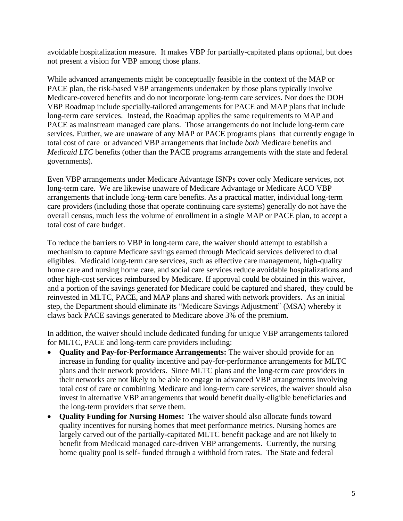avoidable hospitalization measure. It makes VBP for partially-capitated plans optional, but does not present a vision for VBP among those plans.

While advanced arrangements might be conceptually feasible in the context of the MAP or PACE plan, the risk-based VBP arrangements undertaken by those plans typically involve Medicare-covered benefits and do not incorporate long-term care services. Nor does the DOH VBP Roadmap include specially-tailored arrangements for PACE and MAP plans that include long-term care services. Instead, the Roadmap applies the same requirements to MAP and PACE as mainstream managed care plans. Those arrangements do not include long-term care services. Further, we are unaware of any MAP or PACE programs plans that currently engage in total cost of care or advanced VBP arrangements that include *both* Medicare benefits and *Medicaid LTC* benefits (other than the PACE programs arrangements with the state and federal governments).

Even VBP arrangements under Medicare Advantage ISNPs cover only Medicare services, not long-term care. We are likewise unaware of Medicare Advantage or Medicare ACO VBP arrangements that include long-term care benefits. As a practical matter, individual long-term care providers (including those that operate continuing care systems) generally do not have the overall census, much less the volume of enrollment in a single MAP or PACE plan, to accept a total cost of care budget.

To reduce the barriers to VBP in long-term care, the waiver should attempt to establish a mechanism to capture Medicare savings earned through Medicaid services delivered to dual eligibles. Medicaid long-term care services, such as effective care management, high-quality home care and nursing home care, and social care services reduce avoidable hospitalizations and other high-cost services reimbursed by Medicare. If approval could be obtained in this waiver, and a portion of the savings generated for Medicare could be captured and shared, they could be reinvested in MLTC, PACE, and MAP plans and shared with network providers. As an initial step, the Department should eliminate its "Medicare Savings Adjustment" (MSA) whereby it claws back PACE savings generated to Medicare above 3% of the premium.

In addition, the waiver should include dedicated funding for unique VBP arrangements tailored for MLTC, PACE and long-term care providers including:

- **Quality and Pay-for-Performance Arrangements:** The waiver should provide for an increase in funding for quality incentive and pay-for-performance arrangements for MLTC plans and their network providers. Since MLTC plans and the long-term care providers in their networks are not likely to be able to engage in advanced VBP arrangements involving total cost of care or combining Medicare and long-term care services, the waiver should also invest in alternative VBP arrangements that would benefit dually-eligible beneficiaries and the long-term providers that serve them.
- **Quality Funding for Nursing Homes:** The waiver should also allocate funds toward quality incentives for nursing homes that meet performance metrics. Nursing homes are largely carved out of the partially-capitated MLTC benefit package and are not likely to benefit from Medicaid managed care-driven VBP arrangements. Currently, the nursing home quality pool is self- funded through a withhold from rates. The State and federal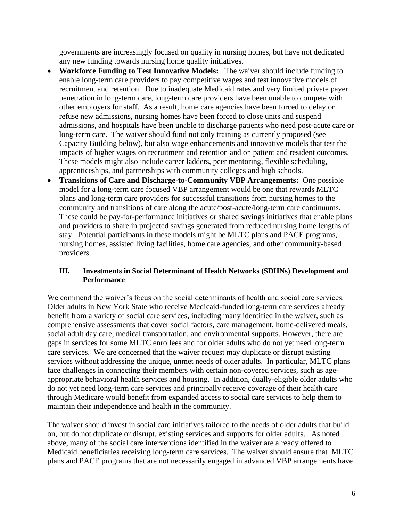governments are increasingly focused on quality in nursing homes, but have not dedicated any new funding towards nursing home quality initiatives.

- **Workforce Funding to Test Innovative Models:** The waiver should include funding to enable long-term care providers to pay competitive wages and test innovative models of recruitment and retention. Due to inadequate Medicaid rates and very limited private payer penetration in long-term care, long-term care providers have been unable to compete with other employers for staff. As a result, home care agencies have been forced to delay or refuse new admissions, nursing homes have been forced to close units and suspend admissions, and hospitals have been unable to discharge patients who need post-acute care or long-term care. The waiver should fund not only training as currently proposed (see Capacity Building below), but also wage enhancements and innovative models that test the impacts of higher wages on recruitment and retention and on patient and resident outcomes. These models might also include career ladders, peer mentoring, flexible scheduling, apprenticeships, and partnerships with community colleges and high schools.
- **Transitions of Care and Discharge-to-Community VBP Arrangements:** One possible model for a long-term care focused VBP arrangement would be one that rewards MLTC plans and long-term care providers for successful transitions from nursing homes to the community and transitions of care along the acute/post-acute/long-term care continuums. These could be pay-for-performance initiatives or shared savings initiatives that enable plans and providers to share in projected savings generated from reduced nursing home lengths of stay. Potential participants in these models might be MLTC plans and PACE programs, nursing homes, assisted living facilities, home care agencies, and other community-based providers.

#### **III. Investments in Social Determinant of Health Networks (SDHNs) Development and Performance**

We commend the waiver's focus on the social determinants of health and social care services. Older adults in New York State who receive Medicaid-funded long-term care services already benefit from a variety of social care services, including many identified in the waiver, such as comprehensive assessments that cover social factors, care management, home-delivered meals, social adult day care, medical transportation, and environmental supports. However, there are gaps in services for some MLTC enrollees and for older adults who do not yet need long-term care services. We are concerned that the waiver request may duplicate or disrupt existing services without addressing the unique, unmet needs of older adults. In particular, MLTC plans face challenges in connecting their members with certain non-covered services, such as ageappropriate behavioral health services and housing. In addition, dually-eligible older adults who do not yet need long-term care services and principally receive coverage of their health care through Medicare would benefit from expanded access to social care services to help them to maintain their independence and health in the community.

The waiver should invest in social care initiatives tailored to the needs of older adults that build on, but do not duplicate or disrupt, existing services and supports for older adults. As noted above, many of the social care interventions identified in the waiver are already offered to Medicaid beneficiaries receiving long-term care services. The waiver should ensure that MLTC plans and PACE programs that are not necessarily engaged in advanced VBP arrangements have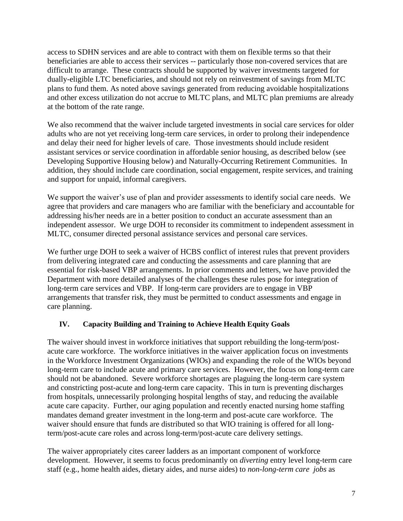access to SDHN services and are able to contract with them on flexible terms so that their beneficiaries are able to access their services -- particularly those non-covered services that are difficult to arrange. These contracts should be supported by waiver investments targeted for dually-eligible LTC beneficiaries, and should not rely on reinvestment of savings from MLTC plans to fund them. As noted above savings generated from reducing avoidable hospitalizations and other excess utilization do not accrue to MLTC plans, and MLTC plan premiums are already at the bottom of the rate range.

We also recommend that the waiver include targeted investments in social care services for older adults who are not yet receiving long-term care services, in order to prolong their independence and delay their need for higher levels of care. Those investments should include resident assistant services or service coordination in affordable senior housing, as described below (see Developing Supportive Housing below) and Naturally-Occurring Retirement Communities. In addition, they should include care coordination, social engagement, respite services, and training and support for unpaid, informal caregivers.

We support the waiver's use of plan and provider assessments to identify social care needs. We agree that providers and care managers who are familiar with the beneficiary and accountable for addressing his/her needs are in a better position to conduct an accurate assessment than an independent assessor. We urge DOH to reconsider its commitment to independent assessment in MLTC, consumer directed personal assistance services and personal care services.

We further urge DOH to seek a waiver of HCBS conflict of interest rules that prevent providers from delivering integrated care and conducting the assessments and care planning that are essential for risk-based VBP arrangements. In prior comments and letters, we have provided the Department with more detailed analyses of the challenges these rules pose for integration of long-term care services and VBP. If long-term care providers are to engage in VBP arrangements that transfer risk, they must be permitted to conduct assessments and engage in care planning.

## **IV. Capacity Building and Training to Achieve Health Equity Goals**

The waiver should invest in workforce initiatives that support rebuilding the long-term/postacute care workforce. The workforce initiatives in the waiver application focus on investments in the Workforce Investment Organizations (WIOs) and expanding the role of the WIOs beyond long-term care to include acute and primary care services. However, the focus on long-term care should not be abandoned. Severe workforce shortages are plaguing the long-term care system and constricting post-acute and long-term care capacity. This in turn is preventing discharges from hospitals, unnecessarily prolonging hospital lengths of stay, and reducing the available acute care capacity. Further, our aging population and recently enacted nursing home staffing mandates demand greater investment in the long-term and post-acute care workforce. The waiver should ensure that funds are distributed so that WIO training is offered for all longterm/post-acute care roles and across long-term/post-acute care delivery settings.

The waiver appropriately cites career ladders as an important component of workforce development. However, it seems to focus predominantly on *diverting* entry level long-term care staff (e.g., home health aides, dietary aides, and nurse aides) to *non-long-term care jobs* as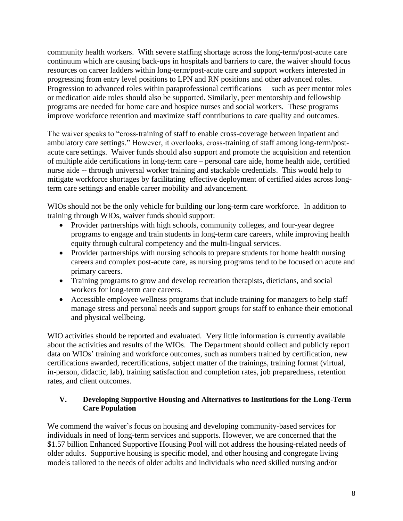community health workers. With severe staffing shortage across the long-term/post-acute care continuum which are causing back-ups in hospitals and barriers to care, the waiver should focus resources on career ladders within long-term/post-acute care and support workers interested in progressing from entry level positions to LPN and RN positions and other advanced roles. Progression to advanced roles within paraprofessional certifications —such as peer mentor roles or medication aide roles should also be supported. Similarly, peer mentorship and fellowship programs are needed for home care and hospice nurses and social workers. These programs improve workforce retention and maximize staff contributions to care quality and outcomes.

The waiver speaks to "cross-training of staff to enable cross-coverage between inpatient and ambulatory care settings." However, it overlooks, cross-training of staff among long-term/postacute care settings. Waiver funds should also support and promote the acquisition and retention of multiple aide certifications in long-term care – personal care aide, home health aide, certified nurse aide -- through universal worker training and stackable credentials. This would help to mitigate workforce shortages by facilitating effective deployment of certified aides across longterm care settings and enable career mobility and advancement.

WIOs should not be the only vehicle for building our long-term care workforce. In addition to training through WIOs, waiver funds should support:

- Provider partnerships with high schools, community colleges, and four-year degree programs to engage and train students in long-term care careers, while improving health equity through cultural competency and the multi-lingual services.
- Provider partnerships with nursing schools to prepare students for home health nursing careers and complex post-acute care, as nursing programs tend to be focused on acute and primary careers.
- Training programs to grow and develop recreation therapists, dieticians, and social workers for long-term care careers.
- Accessible employee wellness programs that include training for managers to help staff manage stress and personal needs and support groups for staff to enhance their emotional and physical wellbeing.

WIO activities should be reported and evaluated. Very little information is currently available about the activities and results of the WIOs. The Department should collect and publicly report data on WIOs' training and workforce outcomes, such as numbers trained by certification, new certifications awarded, recertifications, subject matter of the trainings, training format (virtual, in-person, didactic, lab), training satisfaction and completion rates, job preparedness, retention rates, and client outcomes.

#### **V. Developing Supportive Housing and Alternatives to Institutions for the Long-Term Care Population**

We commend the waiver's focus on housing and developing community-based services for individuals in need of long-term services and supports. However, we are concerned that the \$1.57 billion Enhanced Supportive Housing Pool will not address the housing-related needs of older adults. Supportive housing is specific model, and other housing and congregate living models tailored to the needs of older adults and individuals who need skilled nursing and/or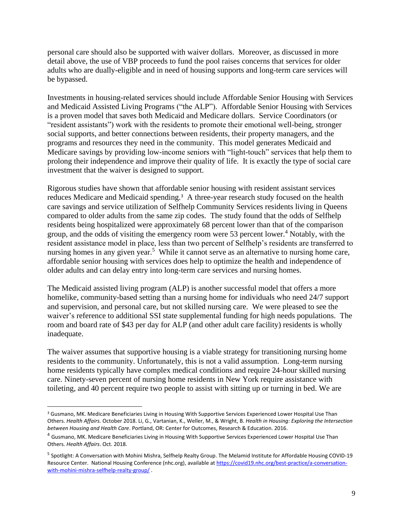personal care should also be supported with waiver dollars. Moreover, as discussed in more detail above, the use of VBP proceeds to fund the pool raises concerns that services for older adults who are dually-eligible and in need of housing supports and long-term care services will be bypassed.

Investments in housing-related services should include Affordable Senior Housing with Services and Medicaid Assisted Living Programs ("the ALP"). Affordable Senior Housing with Services is a proven model that saves both Medicaid and Medicare dollars. Service Coordinators (or "resident assistants") work with the residents to promote their emotional well-being, stronger social supports, and better connections between residents, their property managers, and the programs and resources they need in the community. This model generates Medicaid and Medicare savings by providing low-income seniors with "light-touch" services that help them to prolong their independence and improve their quality of life. It is exactly the type of social care investment that the waiver is designed to support.

Rigorous studies have shown that affordable senior housing with resident assistant services reduces Medicare and Medicaid spending.<sup>3</sup> A three-year research study focused on the health care savings and service utilization of Selfhelp Community Services residents living in Queens compared to older adults from the same zip codes. The study found that the odds of Selfhelp residents being hospitalized were approximately 68 percent lower than that of the comparison group, and the odds of visiting the emergency room were 53 percent lower.<sup>4</sup> Notably, with the resident assistance model in place, less than two percent of Selfhelp's residents are transferred to nursing homes in any given year.<sup>5</sup> While it cannot serve as an alternative to nursing home care, affordable senior housing with services does help to optimize the health and independence of older adults and can delay entry into long-term care services and nursing homes.

The Medicaid assisted living program (ALP) is another successful model that offers a more homelike, community-based setting than a nursing home for individuals who need 24/7 support and supervision, and personal care, but not skilled nursing care. We were pleased to see the waiver's reference to additional SSI state supplemental funding for high needs populations. The room and board rate of \$43 per day for ALP (and other adult care facility) residents is wholly inadequate.

The waiver assumes that supportive housing is a viable strategy for transitioning nursing home residents to the community. Unfortunately, this is not a valid assumption. Long-term nursing home residents typically have complex medical conditions and require 24-hour skilled nursing care. Ninety-seven percent of nursing home residents in New York require assistance with toileting, and 40 percent require two people to assist with sitting up or turning in bed. We are

<sup>3</sup> Gusmano, MK. Medicare Beneficiaries Living in Housing With Supportive Services Experienced Lower Hospital Use Than Others. *Health Affairs.* October 2018. Li, G., Vartanian, K., Weller, M., & Wright, B. *Health in Housing: Exploring the Intersection between Housing and Health Care*. Portland, OR: Center for Outcomes, Research & Education. 2016.

<sup>4</sup> Gusmano, MK. Medicare Beneficiaries Living in Housing With Supportive Services Experienced Lower Hospital Use Than Others. *Health Affairs*. Oct. 2018.

<sup>&</sup>lt;sup>5</sup> [Spotlight: A Conversation with Mohini Mishra, Selfhelp Realty Group.](https://covid19.nhc.org/best-practice/a-conversation-with-mohini-mishra-selfhelp-realty-group/) The Melamid Institute for Affordable Housing COVID-19 [Resource Center. National Housing Conference \(nhc.org\),](https://covid19.nhc.org/best-practice/a-conversation-with-mohini-mishra-selfhelp-realty-group/) available at [https://covid19.nhc.org/best-practice/a-conversation](https://covid19.nhc.org/best-practice/a-conversation-with-mohini-mishra-selfhelp-realty-group/)[with-mohini-mishra-selfhelp-realty-group/](https://covid19.nhc.org/best-practice/a-conversation-with-mohini-mishra-selfhelp-realty-group/) .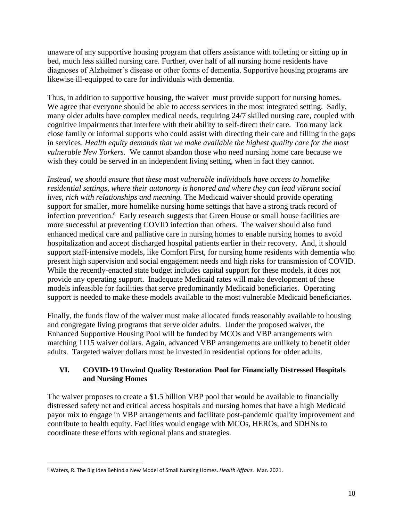unaware of any supportive housing program that offers assistance with toileting or sitting up in bed, much less skilled nursing care. Further, over half of all nursing home residents have diagnoses of Alzheimer's disease or other forms of dementia. Supportive housing programs are likewise ill-equipped to care for individuals with dementia.

Thus, in addition to supportive housing, the waiver must provide support for nursing homes. We agree that everyone should be able to access services in the most integrated setting. Sadly, many older adults have complex medical needs, requiring 24/7 skilled nursing care, coupled with cognitive impairments that interfere with their ability to self-direct their care. Too many lack close family or informal supports who could assist with directing their care and filling in the gaps in services. *Health equity demands that we make available the highest quality care for the most vulnerable New Yorkers.* We cannot abandon those who need nursing home care because we wish they could be served in an independent living setting, when in fact they cannot.

*Instead, we should ensure that these most vulnerable individuals have access to homelike residential settings, where their autonomy is honored and where they can lead vibrant social lives, rich with relationships and meaning.* The Medicaid waiver should provide operating support for smaller, more homelike nursing home settings that have a strong track record of infection prevention.<sup>6</sup> Early research suggests that Green House or small house facilities are more successful at preventing COVID infection than others. The waiver should also fund enhanced medical care and palliative care in nursing homes to enable nursing homes to avoid hospitalization and accept discharged hospital patients earlier in their recovery. And, it should support staff-intensive models, like Comfort First, for nursing home residents with dementia who present high supervision and social engagement needs and high risks for transmission of COVID. While the recently-enacted state budget includes capital support for these models, it does not provide any operating support. Inadequate Medicaid rates will make development of these models infeasible for facilities that serve predominantly Medicaid beneficiaries. Operating support is needed to make these models available to the most vulnerable Medicaid beneficiaries.

Finally, the funds flow of the waiver must make allocated funds reasonably available to housing and congregate living programs that serve older adults. Under the proposed waiver, the Enhanced Supportive Housing Pool will be funded by MCOs and VBP arrangements with matching 1115 waiver dollars. Again, advanced VBP arrangements are unlikely to benefit older adults. Targeted waiver dollars must be invested in residential options for older adults.

## **VI. COVID-19 Unwind Quality Restoration Pool for Financially Distressed Hospitals and Nursing Homes**

The waiver proposes to create a \$1.5 billion VBP pool that would be available to financially distressed safety net and critical access hospitals and nursing homes that have a high Medicaid payor mix to engage in VBP arrangements and facilitate post-pandemic quality improvement and contribute to health equity. Facilities would engage with MCOs, HEROs, and SDHNs to coordinate these efforts with regional plans and strategies.

<sup>6</sup> Waters, R. The Big Idea Behind a New Model of Small Nursing Homes. *Health Affairs.* Mar. 2021.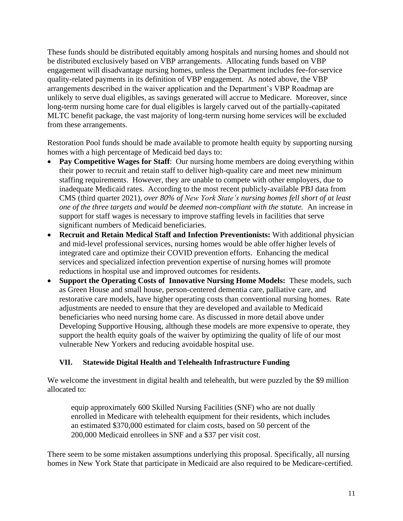These funds should be distributed equitably among hospitals and nursing homes and should not be distributed exclusively based on VBP arrangements. Allocating funds based on VBP engagement will disadvantage nursing homes, unless the Department includes fee-for-service quality-related payments in its definition of VBP engagement. As noted above, the VBP arrangements described in the waiver application and the Department's VBP Roadmap are unlikely to serve dual eligibles, as savings generated will accrue to Medicare. Moreover, since long-term nursing home care for dual eligibles is largely carved out of the partially-capitated MLTC benefit package, the vast majority of long-term nursing home services will be excluded from these arrangements.

Restoration Pool funds should be made available to promote health equity by supporting nursing homes with a high percentage of Medicaid bed days to:

- **Pay Competitive Wages for Staff:** Our nursing home members are doing everything within their power to recruit and retain staff to deliver high-quality care and meet new minimum staffing requirements. However, they are unable to compete with other employers, due to inadequate Medicaid rates. According to the most recent publicly-available PBJ data from CMS (third quarter 2021), *over 80% of New York State's nursing homes fell short of at least one of the three targets and would be deemed non-compliant with the statute.* An increase in support for staff wages is necessary to improve staffing levels in facilities that serve significant numbers of Medicaid beneficiaries.
- **Recruit and Retain Medical Staff and Infection Preventionists:** With additional physician and mid-level professional services, nursing homes would be able offer higher levels of integrated care and optimize their COVID prevention efforts. Enhancing the medical services and specialized infection prevention expertise of nursing homes will promote reductions in hospital use and improved outcomes for residents.
- **Support the Operating Costs of Innovative Nursing Home Models:** These models, such as Green House and small house, person-centered dementia care, palliative care, and restorative care models, have higher operating costs than conventional nursing homes. Rate adjustments are needed to ensure that they are developed and available to Medicaid beneficiaries who need nursing home care. As discussed in more detail above under Developing Supportive Housing, although these models are more expensive to operate, they support the health equity goals of the waiver by optimizing the quality of life of our most vulnerable New Yorkers and reducing avoidable hospital use.

# **VII. Statewide Digital Health and Telehealth Infrastructure Funding**

We welcome the investment in digital health and telehealth, but were puzzled by the \$9 million allocated to:

equip approximately 600 Skilled Nursing Facilities (SNF) who are not dually enrolled in Medicare with telehealth equipment for their residents, which includes an estimated \$370,000 estimated for claim costs, based on 50 percent of the 200,000 Medicaid enrollees in SNF and a \$37 per visit cost.

There seem to be some mistaken assumptions underlying this proposal. Specifically, all nursing homes in New York State that participate in Medicaid are also required to be Medicare-certified.